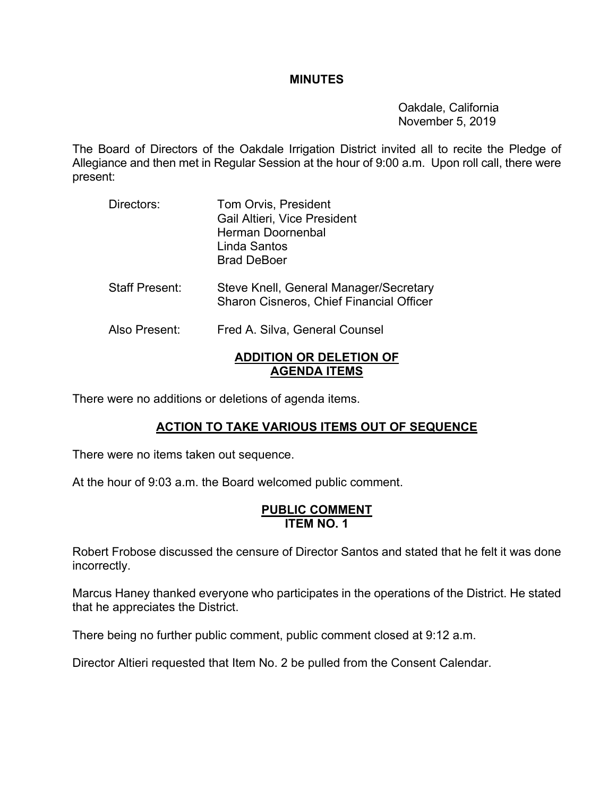### **MINUTES**

 Oakdale, California November 5, 2019

The Board of Directors of the Oakdale Irrigation District invited all to recite the Pledge of Allegiance and then met in Regular Session at the hour of 9:00 a.m. Upon roll call, there were present:

| Directors:            | <b>Tom Orvis, President</b><br>Gail Altieri, Vice President<br><b>Herman Doornenbal</b><br>Linda Santos<br><b>Brad DeBoer</b> |
|-----------------------|-------------------------------------------------------------------------------------------------------------------------------|
| <b>Staff Present:</b> | Steve Knell, General Manager/Secretary<br><b>Sharon Cisneros, Chief Financial Officer</b>                                     |
| Also Present:         | Fred A. Silva, General Counsel                                                                                                |
|                       | ADDITION OR DELETION OF                                                                                                       |

#### **ADDITION OR DELETION OF AGENDA ITEMS**

There were no additions or deletions of agenda items.

# **ACTION TO TAKE VARIOUS ITEMS OUT OF SEQUENCE**

There were no items taken out sequence.

At the hour of 9:03 a.m. the Board welcomed public comment.

### **PUBLIC COMMENT ITEM NO. 1**

Robert Frobose discussed the censure of Director Santos and stated that he felt it was done incorrectly.

Marcus Haney thanked everyone who participates in the operations of the District. He stated that he appreciates the District.

There being no further public comment, public comment closed at 9:12 a.m.

Director Altieri requested that Item No. 2 be pulled from the Consent Calendar.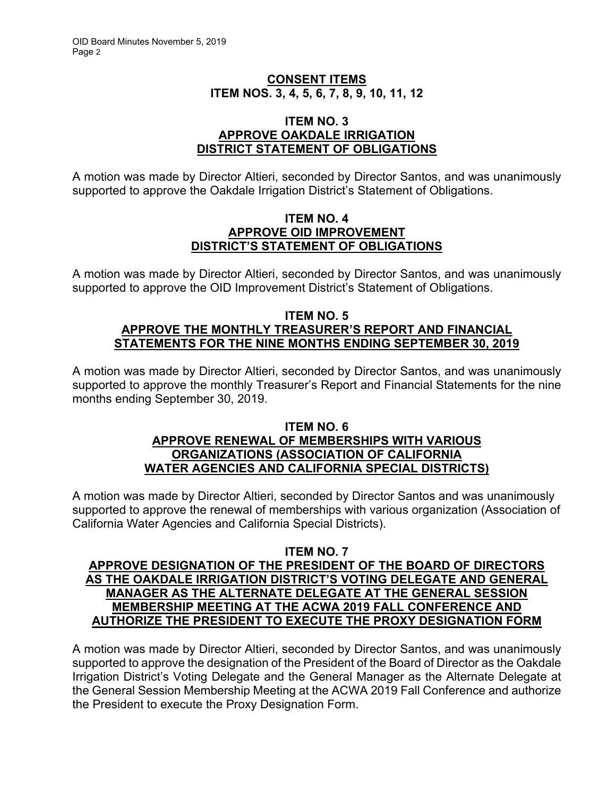# **CONSENT ITEMS ITEM NOS. 3, 4, 5, 6, 7, 8, 9, 10, 11, 12**

#### **ITEM NO. 3 APPROVE OAKDALE IRRIGATION DISTRICT STATEMENT OF OBLIGATIONS**

A motion was made by Director Altieri, seconded by Director Santos, and was unanimously supported to approve the Oakdale Irrigation District's Statement of Obligations.

### **ITEM NO. 4 APPROVE OID IMPROVEMENT DISTRICT'S STATEMENT OF OBLIGATIONS**

A motion was made by Director Altieri, seconded by Director Santos, and was unanimously supported to approve the OID Improvement District's Statement of Obligations.

### **ITEM NO. 5 APPROVE THE MONTHLY TREASURER'S REPORT AND FINANCIAL STATEMENTS FOR THE NINE MONTHS ENDING SEPTEMBER 30, 2019**

A motion was made by Director Altieri, seconded by Director Santos, and was unanimously supported to approve the monthly Treasurer's Report and Financial Statements for the nine months ending September 30, 2019.

### **ITEM NO. 6 APPROVE RENEWAL OF MEMBERSHIPS WITH VARIOUS ORGANIZATIONS (ASSOCIATION OF CALIFORNIA WATER AGENCIES AND CALIFORNIA SPECIAL DISTRICTS)**

A motion was made by Director Altieri, seconded by Director Santos and was unanimously supported to approve the renewal of memberships with various organization (Association of California Water Agencies and California Special Districts).

# **ITEM NO. 7**

# **APPROVE DESIGNATION OF THE PRESIDENT OF THE BOARD OF DIRECTORS AS THE OAKDALE IRRIGATION DISTRICT'S VOTING DELEGATE AND GENERAL MANAGER AS THE ALTERNATE DELEGATE AT THE GENERAL SESSION MEMBERSHIP MEETING AT THE ACWA 2019 FALL CONFERENCE AND AUTHORIZE THE PRESIDENT TO EXECUTE THE PROXY DESIGNATION FORM**

A motion was made by Director Altieri, seconded by Director Santos, and was unanimously supported to approve the designation of the President of the Board of Director as the Oakdale Irrigation District's Voting Delegate and the General Manager as the Alternate Delegate at the General Session Membership Meeting at the ACWA 2019 Fall Conference and authorize the President to execute the Proxy Designation Form.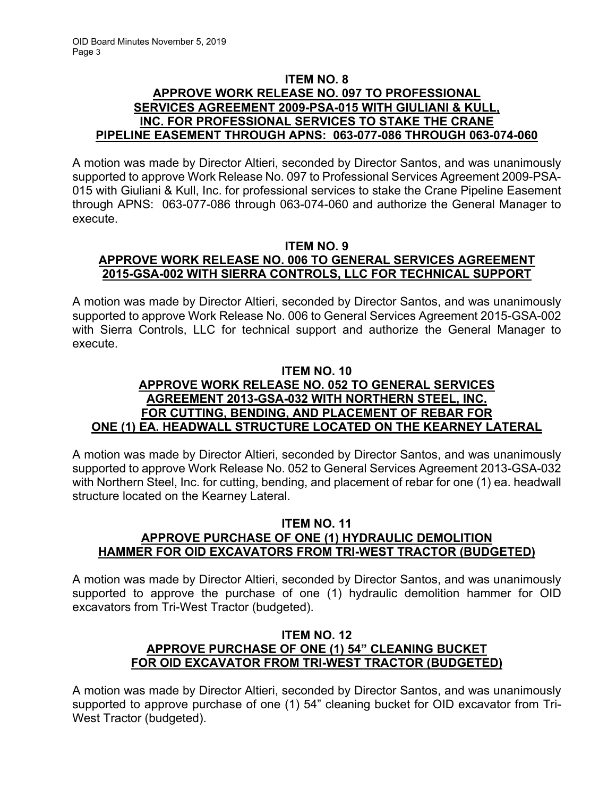# **ITEM NO. 8 APPROVE WORK RELEASE NO. 097 TO PROFESSIONAL SERVICES AGREEMENT 2009-PSA-015 WITH GIULIANI & KULL, INC. FOR PROFESSIONAL SERVICES TO STAKE THE CRANE PIPELINE EASEMENT THROUGH APNS: 063-077-086 THROUGH 063-074-060**

A motion was made by Director Altieri, seconded by Director Santos, and was unanimously supported to approve Work Release No. 097 to Professional Services Agreement 2009-PSA-015 with Giuliani & Kull, Inc. for professional services to stake the Crane Pipeline Easement through APNS: 063-077-086 through 063-074-060 and authorize the General Manager to execute.

# **ITEM NO. 9 APPROVE WORK RELEASE NO. 006 TO GENERAL SERVICES AGREEMENT 2015-GSA-002 WITH SIERRA CONTROLS, LLC FOR TECHNICAL SUPPORT**

A motion was made by Director Altieri, seconded by Director Santos, and was unanimously supported to approve Work Release No. 006 to General Services Agreement 2015-GSA-002 with Sierra Controls, LLC for technical support and authorize the General Manager to execute.

# **ITEM NO. 10 APPROVE WORK RELEASE NO. 052 TO GENERAL SERVICES AGREEMENT 2013-GSA-032 WITH NORTHERN STEEL, INC. FOR CUTTING, BENDING, AND PLACEMENT OF REBAR FOR ONE (1) EA. HEADWALL STRUCTURE LOCATED ON THE KEARNEY LATERAL**

A motion was made by Director Altieri, seconded by Director Santos, and was unanimously supported to approve Work Release No. 052 to General Services Agreement 2013-GSA-032 with Northern Steel, Inc. for cutting, bending, and placement of rebar for one (1) ea. headwall structure located on the Kearney Lateral.

# **ITEM NO. 11 APPROVE PURCHASE OF ONE (1) HYDRAULIC DEMOLITION HAMMER FOR OID EXCAVATORS FROM TRI-WEST TRACTOR (BUDGETED)**

A motion was made by Director Altieri, seconded by Director Santos, and was unanimously supported to approve the purchase of one (1) hydraulic demolition hammer for OID excavators from Tri-West Tractor (budgeted).

# **ITEM NO. 12 APPROVE PURCHASE OF ONE (1) 54" CLEANING BUCKET FOR OID EXCAVATOR FROM TRI-WEST TRACTOR (BUDGETED)**

A motion was made by Director Altieri, seconded by Director Santos, and was unanimously supported to approve purchase of one (1) 54" cleaning bucket for OID excavator from Tri-West Tractor (budgeted).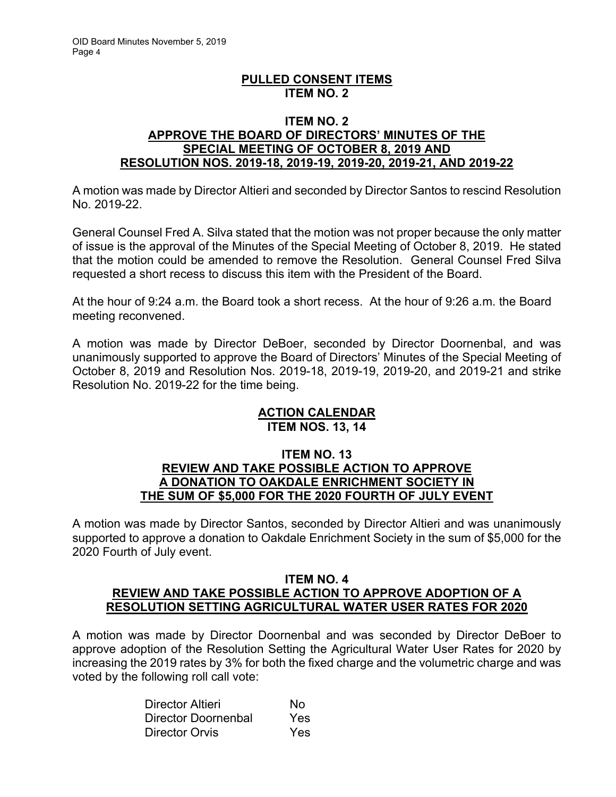# **PULLED CONSENT ITEMS ITEM NO. 2**

#### **ITEM NO. 2 APPROVE THE BOARD OF DIRECTORS' MINUTES OF THE SPECIAL MEETING OF OCTOBER 8, 2019 AND RESOLUTION NOS. 2019-18, 2019-19, 2019-20, 2019-21, AND 2019-22**

A motion was made by Director Altieri and seconded by Director Santos to rescind Resolution No. 2019-22.

General Counsel Fred A. Silva stated that the motion was not proper because the only matter of issue is the approval of the Minutes of the Special Meeting of October 8, 2019. He stated that the motion could be amended to remove the Resolution. General Counsel Fred Silva requested a short recess to discuss this item with the President of the Board.

At the hour of 9:24 a.m. the Board took a short recess. At the hour of 9:26 a.m. the Board meeting reconvened.

A motion was made by Director DeBoer, seconded by Director Doornenbal, and was unanimously supported to approve the Board of Directors' Minutes of the Special Meeting of October 8, 2019 and Resolution Nos. 2019-18, 2019-19, 2019-20, and 2019-21 and strike Resolution No. 2019-22 for the time being.

# **ACTION CALENDAR ITEM NOS. 13, 14**

### **ITEM NO. 13 REVIEW AND TAKE POSSIBLE ACTION TO APPROVE A DONATION TO OAKDALE ENRICHMENT SOCIETY IN THE SUM OF \$5,000 FOR THE 2020 FOURTH OF JULY EVENT**

A motion was made by Director Santos, seconded by Director Altieri and was unanimously supported to approve a donation to Oakdale Enrichment Society in the sum of \$5,000 for the 2020 Fourth of July event.

### **ITEM NO. 4 REVIEW AND TAKE POSSIBLE ACTION TO APPROVE ADOPTION OF A RESOLUTION SETTING AGRICULTURAL WATER USER RATES FOR 2020**

A motion was made by Director Doornenbal and was seconded by Director DeBoer to approve adoption of the Resolution Setting the Agricultural Water User Rates for 2020 by increasing the 2019 rates by 3% for both the fixed charge and the volumetric charge and was voted by the following roll call vote:

| Director Altieri      | N٥   |
|-----------------------|------|
| Director Doornenbal   | Yes  |
| <b>Director Orvis</b> | Yes. |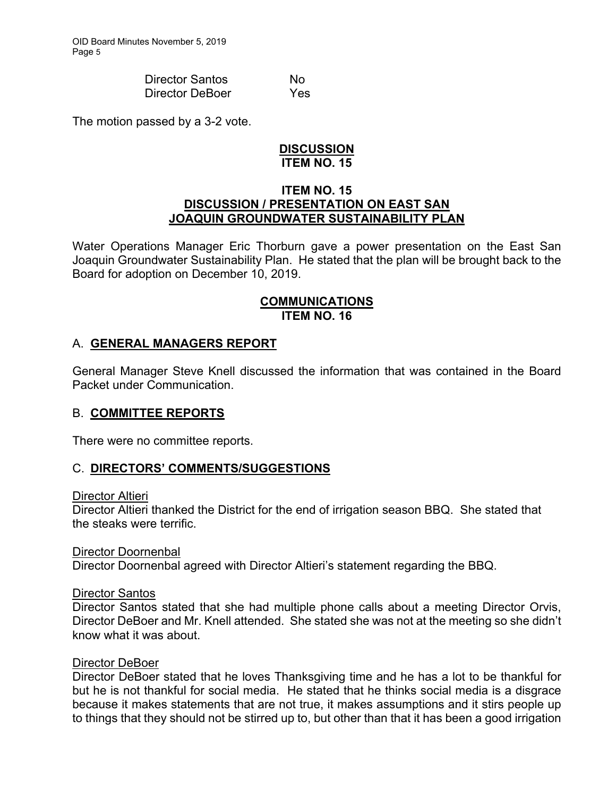Director Santos No Director DeBoer Yes

The motion passed by a 3-2 vote.

### **DISCUSSION ITEM NO. 15**

# **ITEM NO. 15 DISCUSSION / PRESENTATION ON EAST SAN JOAQUIN GROUNDWATER SUSTAINABILITY PLAN**

Water Operations Manager Eric Thorburn gave a power presentation on the East San Joaquin Groundwater Sustainability Plan. He stated that the plan will be brought back to the Board for adoption on December 10, 2019.

# **COMMUNICATIONS ITEM NO. 16**

# A. **GENERAL MANAGERS REPORT**

General Manager Steve Knell discussed the information that was contained in the Board Packet under Communication.

# B. **COMMITTEE REPORTS**

There were no committee reports.

# C. **DIRECTORS' COMMENTS/SUGGESTIONS**

#### Director Altieri

Director Altieri thanked the District for the end of irrigation season BBQ. She stated that the steaks were terrific.

Director Doornenbal

Director Doornenbal agreed with Director Altieri's statement regarding the BBQ.

#### Director Santos

Director Santos stated that she had multiple phone calls about a meeting Director Orvis, Director DeBoer and Mr. Knell attended. She stated she was not at the meeting so she didn't know what it was about.

#### Director DeBoer

Director DeBoer stated that he loves Thanksgiving time and he has a lot to be thankful for but he is not thankful for social media. He stated that he thinks social media is a disgrace because it makes statements that are not true, it makes assumptions and it stirs people up to things that they should not be stirred up to, but other than that it has been a good irrigation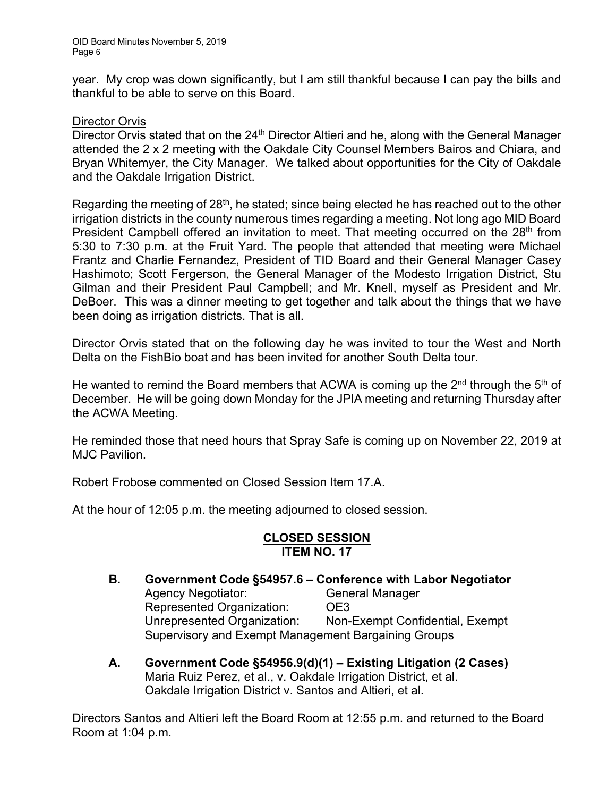year. My crop was down significantly, but I am still thankful because I can pay the bills and thankful to be able to serve on this Board.

#### Director Orvis

Director Orvis stated that on the 24<sup>th</sup> Director Altieri and he, along with the General Manager attended the 2 x 2 meeting with the Oakdale City Counsel Members Bairos and Chiara, and Bryan Whitemyer, the City Manager. We talked about opportunities for the City of Oakdale and the Oakdale Irrigation District.

Regarding the meeting of 28<sup>th</sup>, he stated; since being elected he has reached out to the other irrigation districts in the county numerous times regarding a meeting. Not long ago MID Board President Campbell offered an invitation to meet. That meeting occurred on the 28<sup>th</sup> from 5:30 to 7:30 p.m. at the Fruit Yard. The people that attended that meeting were Michael Frantz and Charlie Fernandez, President of TID Board and their General Manager Casey Hashimoto; Scott Fergerson, the General Manager of the Modesto Irrigation District, Stu Gilman and their President Paul Campbell; and Mr. Knell, myself as President and Mr. DeBoer. This was a dinner meeting to get together and talk about the things that we have been doing as irrigation districts. That is all.

Director Orvis stated that on the following day he was invited to tour the West and North Delta on the FishBio boat and has been invited for another South Delta tour.

He wanted to remind the Board members that ACWA is coming up the  $2<sup>nd</sup>$  through the  $5<sup>th</sup>$  of December. He will be going down Monday for the JPIA meeting and returning Thursday after the ACWA Meeting.

He reminded those that need hours that Spray Safe is coming up on November 22, 2019 at MJC Pavilion.

Robert Frobose commented on Closed Session Item 17.A.

At the hour of 12:05 p.m. the meeting adjourned to closed session.

# **CLOSED SESSION ITEM NO. 17**

**B. Government Code §54957.6 – Conference with Labor Negotiator** 

**Agency Negotiator: General Manager**  Represented Organization: OE3 Unrepresented Organization: Non-Exempt Confidential, Exempt Supervisory and Exempt Management Bargaining Groups

**A. Government Code §54956.9(d)(1) – Existing Litigation (2 Cases)** Maria Ruiz Perez, et al., v. Oakdale Irrigation District, et al. Oakdale Irrigation District v. Santos and Altieri, et al.

Directors Santos and Altieri left the Board Room at 12:55 p.m. and returned to the Board Room at 1:04 p.m.